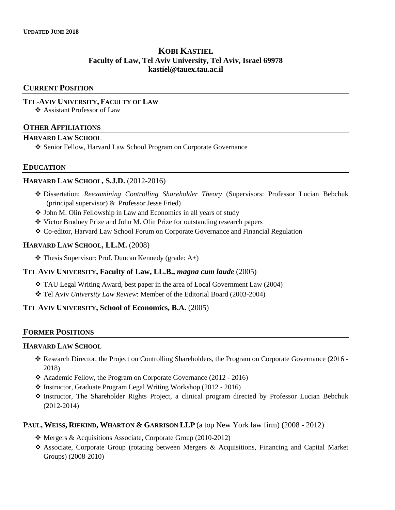# **KOBI KASTIEL Faculty of Law, Tel Aviv University, Tel Aviv, Israel 69978 [kastiel@tauex.tau.ac.il](mailto:kkastiel@law.harvard.edu)**

### **CURRENT POSITION**

#### **TEL-AVIV UNIVERSITY, FACULTY OF LAW**

Assistant Professor of Law

#### **OTHER AFFILIATIONS**

#### **HARVARD LAW SCHOOL**

Senior Fellow, Harvard Law School Program on Corporate Governance

### **EDUCATION**

### **HARVARD LAW SCHOOL, S.J.D.** (2012-2016)

- Dissertation: *Reexamining Controlling Shareholder Theory* (Supervisors: Professor Lucian Bebchuk (principal supervisor) & Professor Jesse Fried)
- John M. Olin Fellowship in Law and Economics in all years of study
- Victor Brudney Prize and John M. Olin Prize for outstanding research papers
- Co-editor, Harvard Law School Forum on Corporate Governance and Financial Regulation

#### **HARVARD LAW SCHOOL, LL.M.** (2008)

 $\triangleleft$  Thesis Supervisor: Prof. Duncan Kennedy (grade: A+)

#### **TEL AVIV UNIVERSITY, Faculty of Law, LL.B.,** *magna cum laude* (2005)

- TAU Legal Writing Award, best paper in the area of Local Government Law (2004)
- Tel Aviv *University Law Review*: Member of the Editorial Board (2003-2004)

### **TEL AVIV UNIVERSITY, School of Economics, B.A.** (2005)

### **FORMER POSITIONS**

#### **HARVARD LAW SCHOOL**

- Research Director, the Project on Controlling Shareholders, the Program on Corporate Governance (2016 2018)
- Academic Fellow, the Program on Corporate Governance (2012 2016)
- Instructor, Graduate Program Legal Writing Workshop (2012 2016)
- Instructor, The Shareholder Rights Project, a clinical program directed by Professor Lucian Bebchuk (2012-2014)

### **PAUL, WEISS, RIFKIND, WHARTON & GARRISON LLP** (a top New York law firm) (2008 - 2012)

- Mergers & Acquisitions Associate, Corporate Group (2010-2012)
- Associate, Corporate Group (rotating between Mergers & Acquisitions, Financing and Capital Market Groups) (2008-2010)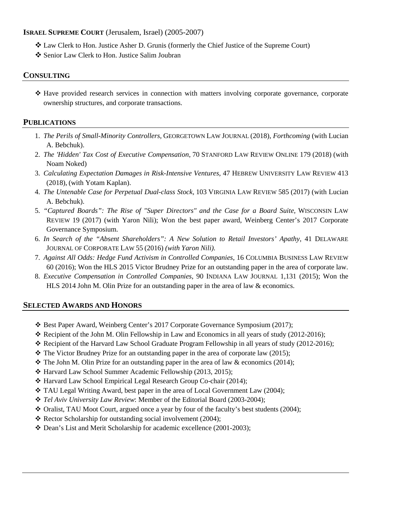## **ISRAEL SUPREME COURT** (Jerusalem, Israel) (2005-2007)

- Law Clerk to Hon. Justice Asher D. Grunis (formerly the Chief Justice of the Supreme Court)
- ❖ Senior Law Clerk to Hon. Justice Salim Joubran

## **CONSULTING**

 $\div$  Have provided research services in connection with matters involving corporate governance, corporate ownership structures, and corporate transactions.

## **PUBLICATIONS**

- 1. *The Perils of Small-Minority Controllers,* GEORGETOWN LAW JOURNAL (2018)*, Forthcoming* (with Lucian A. Bebchuk).
- 2. *The 'Hidden' Tax Cost of Executive Compensation*, 70 STANFORD LAW REVIEW ONLINE 179 (2018) (with Noam Noked)
- 3. *Calculating Expectation Damages in Risk-Intensive Ventures,* 47 HEBREW UNIVERSITY LAW REVIEW 413 (2018), (with Yotam Kaplan).
- 4. *The Untenable Case for Perpetual Dual-class Stock,* 103 VIRGINIA LAW REVIEW 585 (2017) (with Lucian A. Bebchuk).
- 5. *"Captured Boards": The Rise of "Super Directors" and the Case for a Board Suite,* WISCONSIN LAW REVIEW 19 (2017) (with Yaron Nili); Won the best paper award, Weinberg Center's 2017 Corporate Governance Symposium.
- 6. *In Search of the "Absent Shareholders": A New Solution to Retail Investors' Apathy,* 41 DELAWARE JOURNAL OF CORPORATE LAW 55 (2016) *(with Yaron Nili).*
- 7. *Against All Odds: Hedge Fund Activism in Controlled Companies*, 16 COLUMBIA BUSINESS LAW REVIEW 60 (2016); Won the HLS 2015 Victor Brudney Prize for an outstanding paper in the area of corporate law.
- 8. *Executive Compensation in Controlled Companies*, 90 INDIANA LAW JOURNAL 1,131 (2015); Won the HLS 2014 John M. Olin Prize for an outstanding paper in the area of law & economics.

# **SELECTED AWARDS AND HONORS**

- $\div$  Best Paper Award, Weinberg Center's 2017 Corporate Governance Symposium (2017);
- $\div$  Recipient of the John M. Olin Fellowship in Law and Economics in all years of study (2012-2016);
- \* Recipient of the Harvard Law School Graduate Program Fellowship in all years of study (2012-2016);
- $\div$  The Victor Brudney Prize for an outstanding paper in the area of corporate law (2015);
- $\div$  The John M. Olin Prize for an outstanding paper in the area of law & economics (2014);
- Harvard Law School Summer Academic Fellowship (2013, 2015);
- Harvard Law School Empirical Legal Research Group Co-chair (2014);
- $\div$  TAU Legal Writing Award, best paper in the area of Local Government Law (2004);
- *Tel Aviv University Law Review*: Member of the Editorial Board (2003-2004);
- $\triangleleft$  Oralist, TAU Moot Court, argued once a year by four of the faculty's best students (2004);
- $\triangleleft$  Rector Scholarship for outstanding social involvement (2004);
- Dean's List and Merit Scholarship for academic excellence (2001-2003);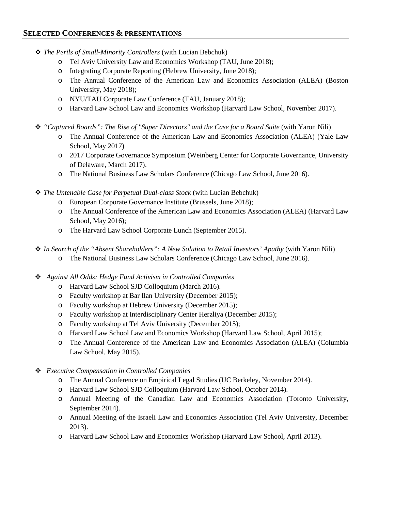# **SELECTED CONFERENCES & PRESENTATIONS**

- *The Perils of Small-Minority Controllers* (with Lucian Bebchuk)
	- o Tel Aviv University Law and Economics Workshop (TAU, June 2018);
	- o Integrating Corporate Reporting (Hebrew University, June 2018);
	- o The Annual Conference of the American Law and Economics Association (ALEA) (Boston University, May 2018);
	- o NYU/TAU Corporate Law Conference (TAU, January 2018);
	- o Harvard Law School Law and Economics Workshop (Harvard Law School, November 2017).
- *"Captured Boards": The Rise of "Super Directors" and the Case for a Board Suite* (with Yaron Nili)
	- o The Annual Conference of the American Law and Economics Association (ALEA) (Yale Law School, May 2017)
	- o 2017 Corporate Governance Symposium (Weinberg Center for Corporate Governance, University of Delaware, March 2017).
	- o The National Business Law Scholars Conference (Chicago Law School, June 2016).
- *The Untenable Case for Perpetual Dual-class Stock* (with Lucian Bebchuk)
	- o European Corporate Governance Institute (Brussels, June 2018);
	- o The Annual Conference of the American Law and Economics Association (ALEA) (Harvard Law School, May 2016);
	- o The Harvard Law School Corporate Lunch (September 2015).
- *In Search of the "Absent Shareholders": A New Solution to Retail Investors' Apathy* (with Yaron Nili)
	- o The National Business Law Scholars Conference (Chicago Law School, June 2016).
- *Against All Odds: Hedge Fund Activism in Controlled Companies*
	- o Harvard Law School SJD Colloquium (March 2016).
	- o Faculty workshop at Bar Ilan University (December 2015);
	- o Faculty workshop at Hebrew University (December 2015);
	- o Faculty workshop at Interdisciplinary Center Herzliya (December 2015);
	- o Faculty workshop at Tel Aviv University (December 2015);
	- o Harvard Law School Law and Economics Workshop (Harvard Law School, April 2015);
	- o The Annual Conference of the American Law and Economics Association (ALEA) (Columbia Law School, May 2015).
- *Executive Compensation in Controlled Companies*
	- o The Annual Conference on Empirical Legal Studies (UC Berkeley, November 2014).
	- o Harvard Law School SJD Colloquium (Harvard Law School, October 2014).
	- o Annual Meeting of the Canadian Law and Economics Association (Toronto University, September 2014).
	- o Annual Meeting of the Israeli Law and Economics Association (Tel Aviv University, December 2013).
	- o Harvard Law School Law and Economics Workshop (Harvard Law School, April 2013).